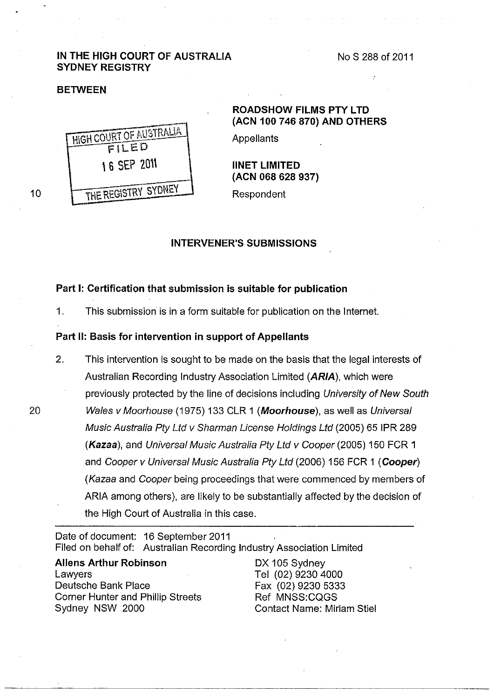#### NoS 288 of 2011

# **IN THE HIGH COURT OF AUSTRALIA SYDNEY REGISTRY**

## **BETWEEN**

10



# **ROADS HOW FILMS PTY LTD (ACN 100 746 870) AND OTHERS**

**Appellants** 

**IINET LIMITED (ACN 068 628 937)** 

Respondent

## **INTERVENER'S SUBMISSIONS**

# **Part 1: Certification that submission is suitable for publication**

1. This submission is in a form suitable for publication on the Internet.

## **Part II: Basis for intervention in support of Appellants**

2. This intervention is sought to be made on the basis that the legal interests of Australian Recording Industry Association Limited **(ARIA),** which were previously protected by the line of decisions including University of New South 20 Wales v Moorhouse (1975) 133 CLR 1 **(Moorhouse),** as well as Universal Music Australia Pty Ltd v Sharman License Holdings Ltd (2005) 65 IPR 289 **(Kazaa),** and Universal Music Australia Pty Ltd v Cooper (2005) 150 FCR 1 and Cooper v Universal Music Australia Pty Ltd (2006) 156 FCR 1 **(Cooper)**  (Kazaa and Cooper being proceedings that were commenced by members of ARIA among others), are likely to be substantially affected by the decision of the High Court of Australia in this case.

Date of document: 16 September 2011 Filed on behalf of: Australian Recording Industry Association Limited

**Aliens Arthur Robinson** DX 105 Sydney Lawyers Tel (02) 9230 4000 Deutsche Bank Place Fax (02) 9230 5333 Corner Hunter and Phillip Streets Ref MNSS:CQGS Sydney NSW 2000 Contact Name: Miriam Stiel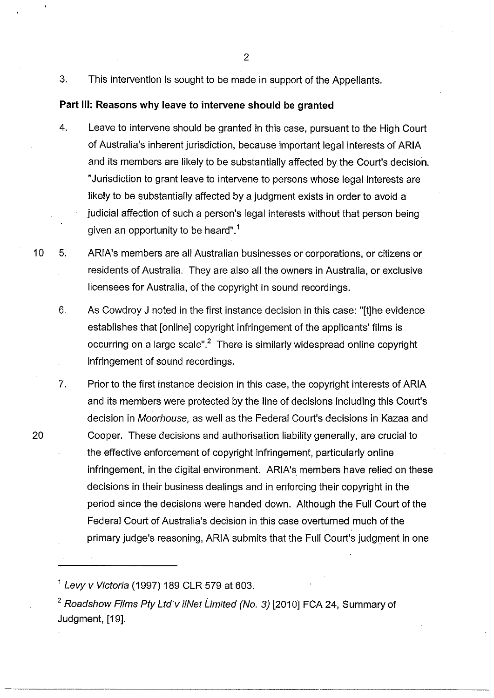3. This intervention is sought to be made in support of the Appellants.

## **Part Ill: Reasons why leave to intervene should be granted**

4. Leave to intervene should be granted in this case, pursuant to the High Court of Australia's inherent jurisdiction, because important legal interests of ARIA and its members are likely to be substantially affected by the Court's decision. "Jurisdiction to grant leave to intervene to persons whose legal interests are likely to be substantially affected by a judgment exists in order to avoid a judicial affection of such a person's legal interests without that person being given an opportunity to be heard". $^\mathrm{1}$ 

10 5. ARIA's members are all Australian businesses or corporations, or citizens or residents of Australia. They are also all the owners in Australia, or exclusive licensees for Australia, of the copyright in sound recordings.

- 6. As Cowdroy J noted in the first instance decision in this case: "[t]he evidence establishes that [online] copyright infringement of the applicants' films is occurring on a large scale".<sup>2</sup> There is similarly widespread online copyright infringement of sound recordings.
- 7. Prior to the first instance decision in this case, the copyright interests of ARIA and its members were protected by the line of decisions including this Court's decision in Moorhouse, as well as the Federal Court's decisions in Kazaa and 20 Cooper. These decisions and authorisation liability generally, are crucial to the effective enforcement of copyright infringement, particularly online infringement, in the digital environment. ARIA's members have relied on these decisions in their business dealings and in enforcing their copyright in the period since the decisions were handed down. Although the Full Court of the Federal Court of Australia's decision in this case overturned much of the primary judge's reasoning, ARIA submits that the Full Court's judgment in one

 $<sup>1</sup>$  Levy v Victoria (1997) 189 CLR 579 at 603.</sup>

 $2$  Roadshow Films Pty Ltd v iiNet Limited (No. 3) [2010] FCA 24, Summary of Judgment, [19].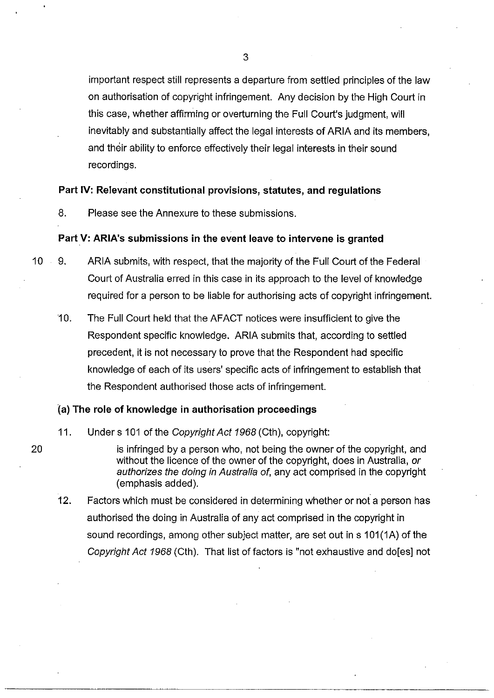important respect still represents a departure from settled principles of the law on authorisation of copyright infringement. Any decision by the High Court in this case, whether affirming or overturning the Full Court's judgment, will inevitably and substantially affect the legal interests of ARIA and its members, and their ability to enforce effectively their legal interests in their sound recordings.

# **Part IV: Relevant constitutional provisions, statutes, and regulations**

8. Please see the Annexure to these submissions.

# **Part V: ARIA's submissions in the event leave to intervene is granted**

- 10 9. ARIA submits, with respect, that the majority of the Full Court of the Federal Court of Australia erred in this case in its approach to the level of knowledge required for a person to be liable for authorising acts of copyright infringement.
	- 10. The Full Court held that the AFACT notices were insufficient to give the Respondent specific knowledge. ARIA submits that, according to settled precedent, it is not necessary to prove that the Respondent had specific knowledge of each of its users' specific acts of infringement to establish that the Respondent authorised those acts of infringement.

#### **(a) The role of knowledge in authorisation proceedings**

## 11. Under s 101 of the Copyright Act 1968 (Cth), copyright:

- 20 is infringed by a person who, not being the owner of the copyright, and without the licence of the owner of the copyright, does in Australia, or authorizes the doing in Australia of, any act comprised in the copyright (emphasis added).
	- 12. Factors which must be considered in determining whether or not a person has authorised the doing in Australia of any act comprised in the copyright in sound recordings, among other subject matter, are set out in s 101(1A) of the Copyright Act 1968 (Cth). That list of factors is "not exhaustive and do[es] not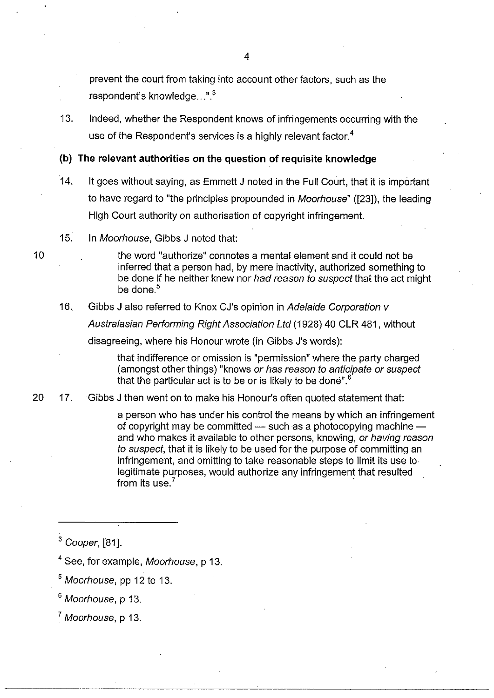prevent the court from taking into account other factors, such as the respondent's knowledge  $\cdot \cdot$ ".<sup>3</sup>

13. Indeed, whether the Respondent knows of infringements occurring with the use of the Respondent's services is a highly relevant factor.<sup>4</sup>

# **(b) The relevant authorities on the question of requisite knowledge**

- 14. It goes without saying, as Emmett J noted in the Full Court, that it is important to have regard to "the principles propounded in Moorhouse" ([23]), the leading High Court authority on authorisation of copyright infringement.
- 15. In Moorhouse, Gibbs J noted that:

10 the word "authorize" connotes a mental element and it could not be inferred that a person had, by mere inactivity, authorized something to be done if he neither knew nor had reason to suspect that the act might be done.<sup>5</sup>

16.. Gibbs J also referred to Knox CJ's opinion in Adelaide Corporation v

Australasian Performing Right Association Ltd (1928) 40 CLR 481, without

disagreeing, where his Honour wrote (in Gibbs J's words):

that indifference or omission is "permission" where the party charged (amongst other things) "knows or has reason to anticipate or suspect that the particular act is to be or is likely to be done".<sup>6</sup>

# 20 17. Gibbs J then went on to make his Honour's often quoted statement that:

a person who has under his control the means by which an infringement of copyright may be committed - such as a photocopying machine and who makes it available to other persons, knowing, or having reason to suspect, that it is likely to be used for the purpose of committing an infringement, and omitting to take reasonable steps to limit its use to legitimate purposes, would authorize any infringement that resulted from its use. $<sup>7</sup>$ </sup>

- <sup>6</sup> Moorhouse, p 13.
- $<sup>7</sup>$  Moorhouse, p 13.</sup>

4

 $3$  Cooper, [81].

<sup>&</sup>lt;sup>4</sup> See, for example, *Moorhouse*, p 13.

 $<sup>5</sup>$  Moorhouse, pp 12 to 13.</sup>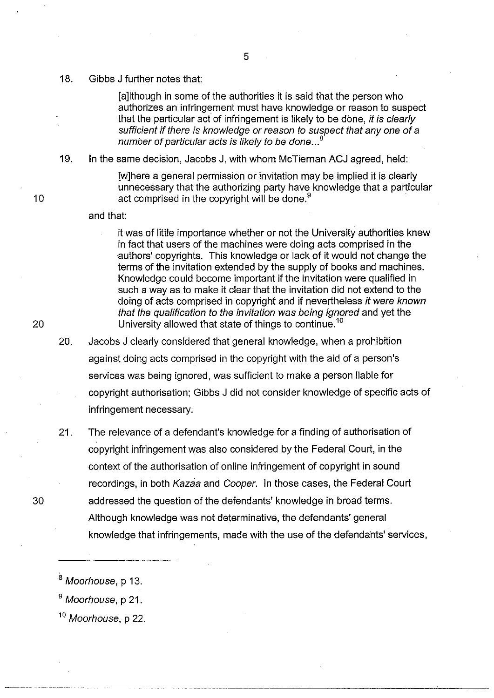18. Gibbs J further notes that:

[a]lthough in some of the authorities it is said that the person who authorizes an infringement must have knowledge or reason to suspect that the particular act of infringement is likely to be done, it is clearly sufficient if there is knowledge or reason to suspect that any one of a number of particular acts is likely to be done... $\overline{S}$ 

19. In the same decision, Jacobs J, with whom McTiernan ACJ agreed, held:

[w]here a general permission or invitation may be implied it is clearly unnecessary that the authorizing party have knowledge that a particular 10 **act comprised in the copyright will be done.**<sup>9</sup>

#### and that:

it was of little importance whether or not the University authorities knew in fact that users of the machines were doing acts comprised in the authors' copyrights. This knowledge or lack of it would not change the terms of the invitation extended by the supply of books and machines. Knowledge could become important if the invitation were qualified in such a way as to make it clear that the invitation did not extend to the doing of acts comprised in copyright and if nevertheless it were known that the qualification to the invitation was being ignored and yet the 20 University allowed that state of things to continue.<sup>10</sup>

- 20. Jacobs J clearly considered that general knowledge, when a prohibition against doing acts comprised in the copyright with the aid of a person's services was being ignored, was sufficient to make a person liable for copyright authorisation; Gibbs J did not consider knowledge of specific acts of infringement necessary.
- 21. The relevance of a defendant's knowledge for a finding of authorisation of copyright infringement was also considered by the Federal Court, in the context of the authorisation of online infringement of copyright in sound recordings, in both Kazaa and Cooper. In those cases, the Federal Court 30 addressed the question of the defendants' knowledge in broad terms. Although knowledge was not determinative, the defendants' general knowledge that infringements, made with the use of the defendants' services,

<sup>8</sup> Moorhouse, p 13.

<sup>&</sup>lt;sup>9</sup> Moorhouse, p 21.

<sup>&</sup>lt;sup>10</sup> Moorhouse, p 22.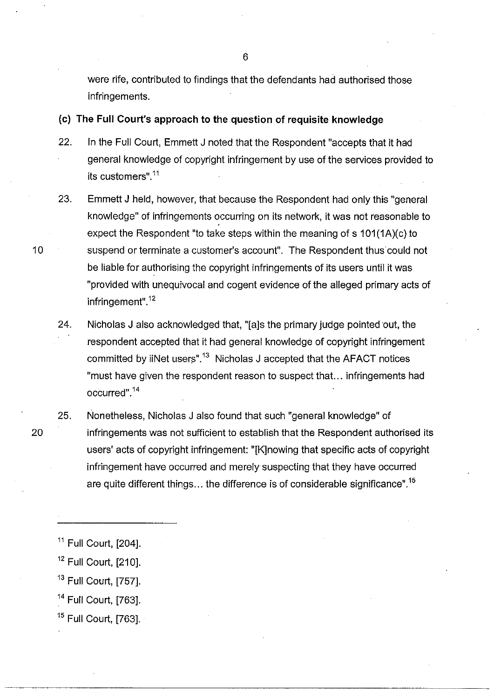were rife, contributed to findings that the defendants had authorised those infringements.

(c) **The Full Court's approach to the question of requisite knowledge** 

- 22. In the Full Court, Emmett J noted that the Respondent "accepts that it had general knowledge of copyright infringement by use of the services provided to its customers".<sup>11</sup>
- 23. Emmett J held, however, that because the Respondent had only this "general knowledge" of infringements occurring on its network, it was not reasonable to expect the Respondent "to take steps within the meaning of s 101(1A)(c) to 10 suspend or terminate a customer's account". The Respondent thus·could not be liable for authorising the copyright infringements of its users until it was "provided with unequivocal and cogent evidence of the alleged primary acts of infringement".<sup>12</sup>
	- 24. Nicholas J also acknowledged that, "[a]s the primary judge pointed out, the respondent accepted that it had general knowledge of copyright infringement committed by iiNet users", $13$  Nicholas J accepted that the AFACT notices "must have given the respondent reason to suspect that. .. infringements had occurred". <sup>14</sup>
- 25. Nonetheless, Nicholas J also found that such "general knowledge" of 20 infringements was not sufficient to establish that the Respondent authorised its users' acts of copyright infringement: "[K]nowing that specific acts of copyright infringement have occurred and merely suspecting that they have occurred are quite different things... the difference is of considerable significance".<sup>15</sup>
	- $11$  Full Court,  $[204]$ .
	- $12$  Full Court, [210].
	- <sup>13</sup> Full Court, [757].
	- <sup>14</sup> Full Court, [763].
	- $15$  Full Court, [763].

6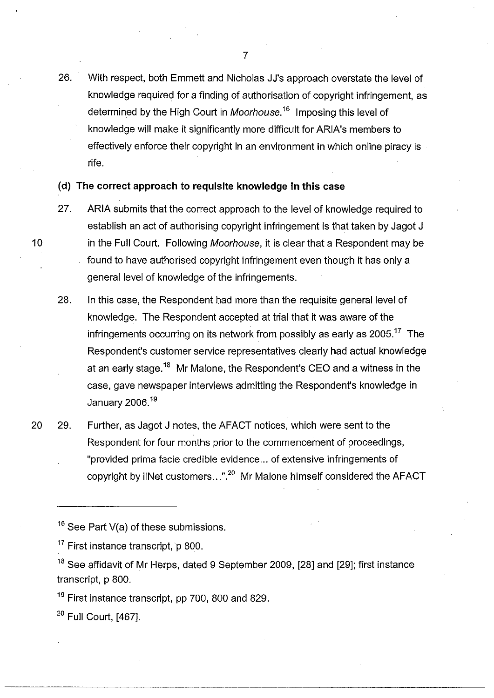26. With respect, both Emmett and Nicholas JJ's approach overstate the level of knowledge required for a finding of authorisation of copyright infringement, as determined by the High Court in Moorhouse.<sup>16</sup> Imposing this level of knowledge will make it significantly more difficult for ARIA's members to effectively enforce their copyright in an environment in which online piracy is rife.

**(d) The correct approach to requisite knowledge in this case** 

- 27. ARIA submits that the correct approach to the level of knowledge required to establish an act of authorising copyright infringement is that taken by Jagot J 10 in the Full Court. Following Moorhouse, it is clear that a Respondent may be found to have authorised copyright infringement even though it has only a general level of knowledge of the infringements.
	- 28. In this case, the Respondent had more than the requisite general level of knowledge. The Respondent accepted at trial that it was aware of the infringements occurring on its network from possibly as early as 2005.<sup>17</sup> The Respondent's customer service representatives clearly had actual knowledge at an early stage.<sup>18</sup> Mr Malone, the Respondent's CEO and a witness in the case, gave newspaper interviews admitting the Respondent's knowledge in January 2006. <sup>19</sup>
- 20 29. Further, as Jagot J notes, the AFACT notices, which were sent to the Respondent for four months prior to the commencement of proceedings, "provided prima facie credible evidence... of extensive infringements of copyright by iiNet customers ... ".20 Mr Malone himself considered the AFACT

 $16$  See Part V(a) of these submissions.

<sup>19</sup> First instance transcript, pp 700, 800 and 829.

<sup>20</sup> Full Court, [467].

 $17$  First instance transcript, p 800.

 $18$  See affidavit of Mr Herps, dated 9 September 2009, [28] and [29]; first instance transcript, p 800.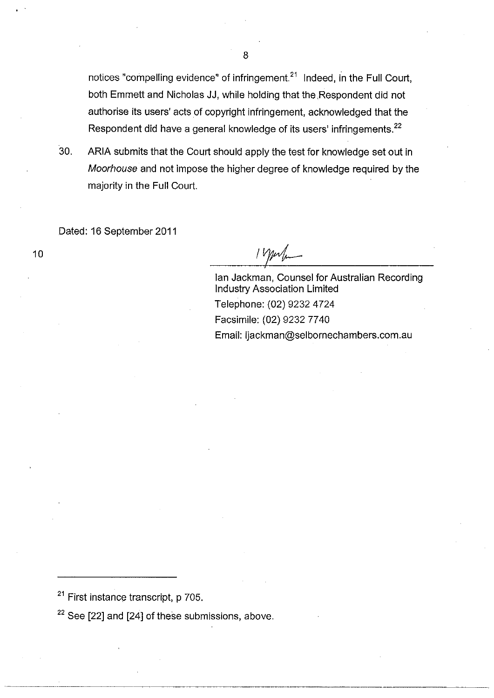notices "compelling evidence" of infringement.<sup>21</sup> Indeed, in the Full Court, both Emmett and Nicholas JJ, while holding that the Respondent did not authorise its users' acts of copyright infringement, acknowledged that the Respondent did have a general knowledge of its users' infringements.<sup>22</sup>

30. ARIA submits that the Court should apply the test for knowledge set out in Moorhouse and not impose the higher degree of knowledge required by the majority in the Full Court.

Dated: 16 September 2011

10

 $1$  yester

lan Jackman, Counsel for Australian Recording Industry Association Limited Telephone: (02) 9232 4724 Facsimile: (02) 9232 7740 Email: ijackman@selbornechambers.com.au

<sup>21</sup> First instance transcript, p 705.

 $22$  See [22] and [24] of these submissions, above.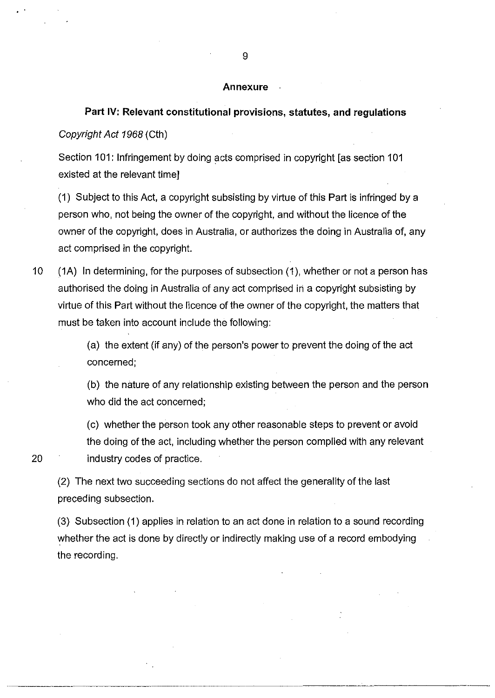#### **Annexure**

## **Part IV: Relevant constitutional provisions, statutes, and regulations**

# Copyright Act 1968 (Cth)

Section 101: Infringement by doing acts comprised in copyright [as section 101 existed at the relevant time]

(1) Subject to this Act, a copyright subsisting by virtue of this Part is infringed by a person who, not being the owner of the copyright, and without the licence of the owner of the copyright, does in Australia, or authorizes the doing in Australia of, any act comprised in the copyright.

10 (1A) In determining, for the purposes of subsection (1 ), whether or not a person has authorised the doing in Australia of any act comprised in a copyright subsisting by virtue of this Part without the licence of the owner of the copyright, the matters that must be taken into account include the following:

> (a) the extent (if any) of the person's power to prevent the doing of the act concerned;

(b) the nature of any relationship existing between the person and the person who did the act concerned;

(c) whether the person took any other reasonable steps to prevent or avoid the doing of the act, including whether the person complied with any relevant 20 industry codes of practice.

(2) The next two succeeding sections do not affect the generality of the last preceding subsection.

(3) Subsection (1) applies in relation to an act done in relation to a sound recording whether the act is done by directly or indirectly making use of a record embodying the recording.

·-------------·